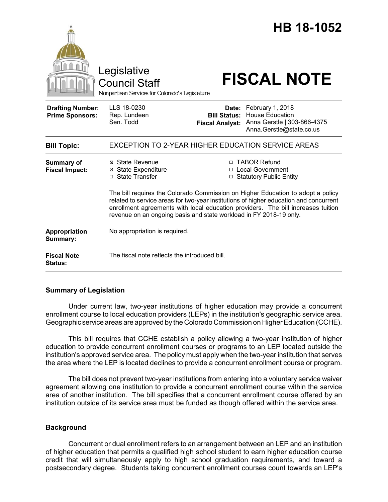|                                                   | Legislative<br><b>Council Staff</b><br>Nonpartisan Services for Colorado's Legislature                                                                                                                                                                                                                                             |                                                        | HB 18-1052<br><b>FISCAL NOTE</b>                                                                      |
|---------------------------------------------------|------------------------------------------------------------------------------------------------------------------------------------------------------------------------------------------------------------------------------------------------------------------------------------------------------------------------------------|--------------------------------------------------------|-------------------------------------------------------------------------------------------------------|
| <b>Drafting Number:</b><br><b>Prime Sponsors:</b> | LLS 18-0230<br>Rep. Lundeen<br>Sen. Todd                                                                                                                                                                                                                                                                                           | Date:<br><b>Bill Status:</b><br><b>Fiscal Analyst:</b> | February 1, 2018<br><b>House Education</b><br>Anna Gerstle   303-866-4375<br>Anna.Gerstle@state.co.us |
| <b>Bill Topic:</b>                                | <b>EXCEPTION TO 2-YEAR HIGHER EDUCATION SERVICE AREAS</b>                                                                                                                                                                                                                                                                          |                                                        |                                                                                                       |
| <b>Summary of</b><br><b>Fiscal Impact:</b>        | ⊠ State Revenue<br>⊠ State Expenditure<br>□ State Transfer                                                                                                                                                                                                                                                                         |                                                        | □ TABOR Refund<br>□ Local Government<br>□ Statutory Public Entity                                     |
|                                                   | The bill requires the Colorado Commission on Higher Education to adopt a policy<br>related to service areas for two-year institutions of higher education and concurrent<br>enrollment agreements with local education providers. The bill increases tuition<br>revenue on an ongoing basis and state workload in FY 2018-19 only. |                                                        |                                                                                                       |
| Appropriation<br>Summary:                         | No appropriation is required.                                                                                                                                                                                                                                                                                                      |                                                        |                                                                                                       |
| <b>Fiscal Note</b><br><b>Status:</b>              | The fiscal note reflects the introduced bill.                                                                                                                                                                                                                                                                                      |                                                        |                                                                                                       |

# **Summary of Legislation**

Under current law, two-year institutions of higher education may provide a concurrent enrollment course to local education providers (LEPs) in the institution's geographic service area. Geographic service areas are approved by the Colorado Commission on Higher Education (CCHE).

This bill requires that CCHE establish a policy allowing a two-year institution of higher education to provide concurrent enrollment courses or programs to an LEP located outside the institution's approved service area. The policy must apply when the two-year institution that serves the area where the LEP is located declines to provide a concurrent enrollment course or program.

The bill does not prevent two-year institutions from entering into a voluntary service waiver agreement allowing one institution to provide a concurrent enrollment course within the service area of another institution. The bill specifies that a concurrent enrollment course offered by an institution outside of its service area must be funded as though offered within the service area.

## **Background**

Concurrent or dual enrollment refers to an arrangement between an LEP and an institution of higher education that permits a qualified high school student to earn higher education course credit that will simultaneously apply to high school graduation requirements, and toward a postsecondary degree. Students taking concurrent enrollment courses count towards an LEP's